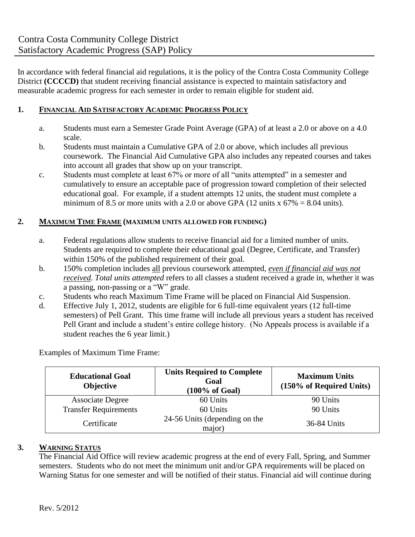In accordance with federal financial aid regulations, it is the policy of the Contra Costa Community College District **(CCCCD)** that student receiving financial assistance is expected to maintain satisfactory and measurable academic progress for each semester in order to remain eligible for student aid.

## **1. FINANCIAL AID SATISFACTORY ACADEMIC PROGRESS POLICY**

- a. Students must earn a Semester Grade Point Average (GPA) of at least a 2.0 or above on a 4.0 scale.
- b. Students must maintain a Cumulative GPA of 2.0 or above, which includes all previous coursework. The Financial Aid Cumulative GPA also includes any repeated courses and takes into account all grades that show up on your transcript.
- c. Students must complete at least 67% or more of all "units attempted" in a semester and cumulatively to ensure an acceptable pace of progression toward completion of their selected educational goal. For example, if a student attempts 12 units, the student must complete a minimum of 8.5 or more units with a 2.0 or above GPA (12 units x  $67\% = 8.04$  units).

## **2. MAXIMUM TIME FRAME (MAXIMUM UNITS ALLOWED FOR FUNDING)**

- a. Federal regulations allow students to receive financial aid for a limited number of units. Students are required to complete their educational goal (Degree, Certificate, and Transfer) within 150% of the published requirement of their goal.
- b. 150% completion includes all previous coursework attempted, *even if financial aid was not received. Total units attempted* refers to all classes a student received a grade in, whether it was a passing, non-passing or a "W" grade.
- c. Students who reach Maximum Time Frame will be placed on Financial Aid Suspension.
- d. Effective July 1, 2012, students are eligible for 6 full-time equivalent years (12 full-time semesters) of Pell Grant. This time frame will include all previous years a student has received Pell Grant and include a student's entire college history. (No Appeals process is available if a student reaches the 6 year limit.)

Examples of Maximum Time Frame:

| <b>Educational Goal</b><br>Objective | <b>Units Required to Complete</b><br>Goal<br>$(100\% \text{ of }$ Goal) | <b>Maximum Units</b><br>(150% of Required Units) |
|--------------------------------------|-------------------------------------------------------------------------|--------------------------------------------------|
| <b>Associate Degree</b>              | 60 Units                                                                | 90 Units                                         |
| <b>Transfer Requirements</b>         | 60 Units                                                                | 90 Units                                         |
| Certificate                          | 24-56 Units (depending on the<br>major)                                 | 36-84 Units                                      |

# **3. WARNING STATUS**

The Financial Aid Office will review academic progress at the end of every Fall, Spring, and Summer semesters. Students who do not meet the minimum unit and/or GPA requirements will be placed on Warning Status for one semester and will be notified of their status. Financial aid will continue during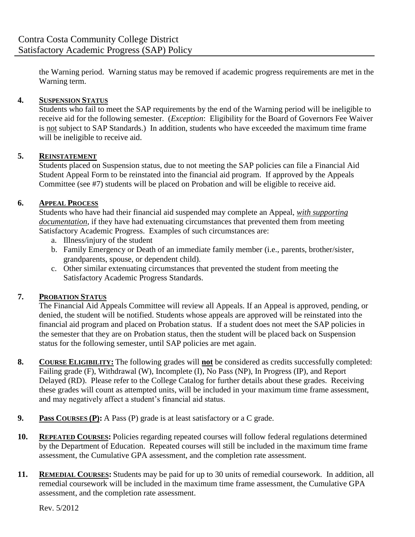the Warning period. Warning status may be removed if academic progress requirements are met in the Warning term.

# **4. SUSPENSION STATUS**

Students who fail to meet the SAP requirements by the end of the Warning period will be ineligible to receive aid for the following semester. (*Exception*: Eligibility for the Board of Governors Fee Waiver is not subject to SAP Standards.) In addition, students who have exceeded the maximum time frame will be ineligible to receive aid.

# **5. REINSTATEMENT**

Students placed on Suspension status, due to not meeting the SAP policies can file a Financial Aid Student Appeal Form to be reinstated into the financial aid program. If approved by the Appeals Committee (see #7) students will be placed on Probation and will be eligible to receive aid.

# **6. APPEAL PROCESS**

Students who have had their financial aid suspended may complete an Appeal, *with supporting documentation*, if they have had extenuating circumstances that prevented them from meeting Satisfactory Academic Progress. Examples of such circumstances are:

- a. Illness/injury of the student
- b. Family Emergency or Death of an immediate family member (i.e., parents, brother/sister, grandparents, spouse, or dependent child).
- c. Other similar extenuating circumstances that prevented the student from meeting the Satisfactory Academic Progress Standards.

#### **7. PROBATION STATUS**

The Financial Aid Appeals Committee will review all Appeals. If an Appeal is approved, pending, or denied, the student will be notified. Students whose appeals are approved will be reinstated into the financial aid program and placed on Probation status. If a student does not meet the SAP policies in the semester that they are on Probation status, then the student will be placed back on Suspension status for the following semester, until SAP policies are met again.

- **8. COURSE ELIGIBILITY:** The following grades will **not** be considered as credits successfully completed: Failing grade (F), Withdrawal (W), Incomplete (I), No Pass (NP), In Progress (IP), and Report Delayed (RD). Please refer to the College Catalog for further details about these grades. Receiving these grades will count as attempted units, will be included in your maximum time frame assessment, and may negatively affect a student's financial aid status.
- **9. Pass COURSES (P):** A Pass (P) grade is at least satisfactory or a C grade.
- **10. REPEATED COURSES:** Policies regarding repeated courses will follow federal regulations determined by the Department of Education. Repeated courses will still be included in the maximum time frame assessment, the Cumulative GPA assessment, and the completion rate assessment.
- **11. REMEDIAL COURSES:** Students may be paid for up to 30 units of remedial coursework. In addition, all remedial coursework will be included in the maximum time frame assessment, the Cumulative GPA assessment, and the completion rate assessment.

Rev. 5/2012